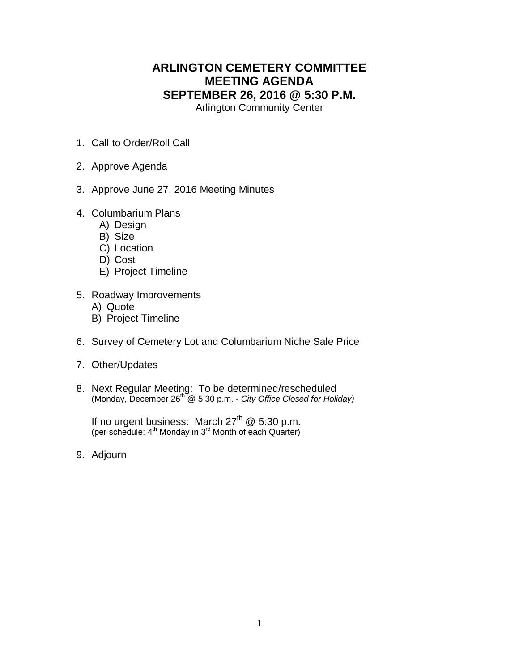## **ARLINGTON CEMETERY COMMITTEE MEETING AGENDA SEPTEMBER 26, 2016 @ 5:30 P.M.**

Arlington Community Center

- 1. Call to Order/Roll Call
- 2. Approve Agenda
- 3. Approve June 27, 2016 Meeting Minutes
- 4. Columbarium Plans
	- A) Design
	- B) Size
	- C) Location
	- D) Cost
	- E) Project Timeline
- 5. Roadway Improvements
	- A) Quote
	- B) Project Timeline
- 6. Survey of Cemetery Lot and Columbarium Niche Sale Price
- 7. Other/Updates
- 8. Next Regular Meeting: To be determined/rescheduled (Monday, December 26 th @ 5:30 p.m. *- City Office Closed for Holiday)*

If no urgent business: March  $27<sup>th</sup>$  @ 5:30 p.m. (per schedule: 4<sup>th</sup> Monday in 3<sup>rd</sup> Month of each Quarter)

9. Adjourn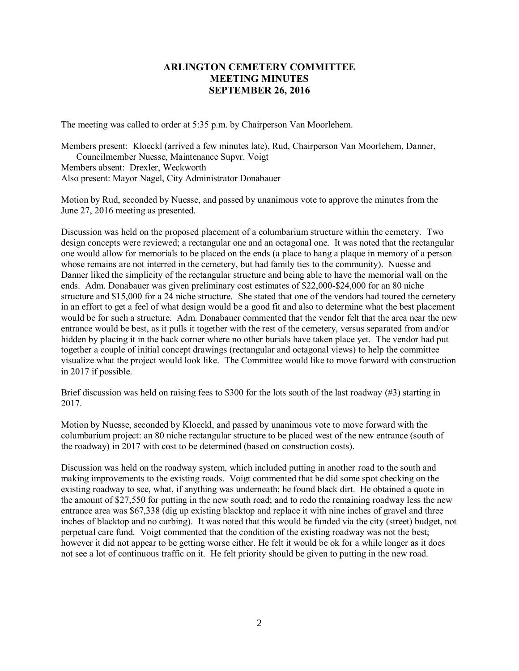## **ARLINGTON CEMETERY COMMITTEE MEETING MINUTES SEPTEMBER 26, 2016**

The meeting was called to order at 5:35 p.m. by Chairperson Van Moorlehem.

Members present: Kloeckl (arrived a few minutes late), Rud, Chairperson Van Moorlehem, Danner, Councilmember Nuesse, Maintenance Supvr. Voigt Members absent: Drexler, Weckworth Also present: Mayor Nagel, City Administrator Donabauer

Motion by Rud, seconded by Nuesse, and passed by unanimous vote to approve the minutes from the June 27, 2016 meeting as presented.

Discussion was held on the proposed placement of a columbarium structure within the cemetery. Two design concepts were reviewed; a rectangular one and an octagonal one. It was noted that the rectangular one would allow for memorials to be placed on the ends (a place to hang a plaque in memory of a person whose remains are not interred in the cemetery, but had family ties to the community). Nuesse and Danner liked the simplicity of the rectangular structure and being able to have the memorial wall on the ends. Adm. Donabauer was given preliminary cost estimates of \$22,000-\$24,000 for an 80 niche structure and \$15,000 for a 24 niche structure. She stated that one of the vendors had toured the cemetery in an effort to get a feel of what design would be a good fit and also to determine what the best placement would be for such a structure. Adm. Donabauer commented that the vendor felt that the area near the new entrance would be best, as it pulls it together with the rest of the cemetery, versus separated from and/or hidden by placing it in the back corner where no other burials have taken place yet. The vendor had put together a couple of initial concept drawings (rectangular and octagonal views) to help the committee visualize what the project would look like. The Committee would like to move forward with construction in 2017 if possible.

Brief discussion was held on raising fees to \$300 for the lots south of the last roadway (#3) starting in 2017.

Motion by Nuesse, seconded by Kloeckl, and passed by unanimous vote to move forward with the columbarium project: an 80 niche rectangular structure to be placed west of the new entrance (south of the roadway) in 2017 with cost to be determined (based on construction costs).

Discussion was held on the roadway system, which included putting in another road to the south and making improvements to the existing roads. Voigt commented that he did some spot checking on the existing roadway to see, what, if anything was underneath; he found black dirt. He obtained a quote in the amount of \$27,550 for putting in the new south road; and to redo the remaining roadway less the new entrance area was \$67,338 (dig up existing blacktop and replace it with nine inches of gravel and three inches of blacktop and no curbing). It was noted that this would be funded via the city (street) budget, not perpetual care fund. Voigt commented that the condition of the existing roadway was not the best; however it did not appear to be getting worse either. He felt it would be ok for a while longer as it does not see a lot of continuous traffic on it. He felt priority should be given to putting in the new road.